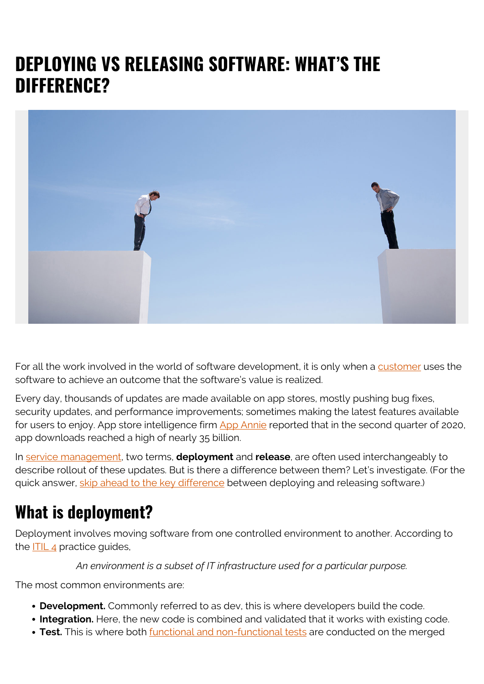# **DEPLOYING VS RELEASING SOFTWARE: WHAT'S THE DIFFERENCE?**



For all the work involved in the world of software development, it is only when a [customer](https://blogs.bmc.com/blogs/internal-vs-external-customers/) uses the software to achieve an outcome that the software's value is realized.

Every day, thousands of updates are made available on app stores, mostly pushing bug fixes, security updates, and performance improvements; sometimes making the latest features available for users to enjoy. App store intelligence firm [App Annie](https://www.appannie.com/en/insights/market-data/mobile-app-usage-surged-40-during-covid-19-pandemic/) reported that in the second quarter of 2020, app downloads reached a high of nearly 35 billion.

In [service management](https://blogs.bmc.com/blogs/itsm/), two terms, **deployment** and **release**, are often used interchangeably to describe rollout of these updates. But is there a difference between them? Let's investigate. (For the quick answer, [skip ahead to the key difference](#page--1-0) between deploying and releasing software.)

# **What is deployment?**

Deployment involves moving software from one controlled environment to another. According to the [ITIL 4](https://blogs.bmc.com/blogs/itil-4/) practice guides,

*An environment is a subset of IT infrastructure used for a particular purpose.*

The most common environments are:

- **Development.** Commonly referred to as dev, this is where developers build the code.
- **Integration.** Here, the new code is combined and validated that it works with existing code.
- **Test.** This is where both [functional and non-functional tests](https://blogs.bmc.com/blogs/testing-frameworks-unit-functional-tdd-bdd/) are conducted on the merged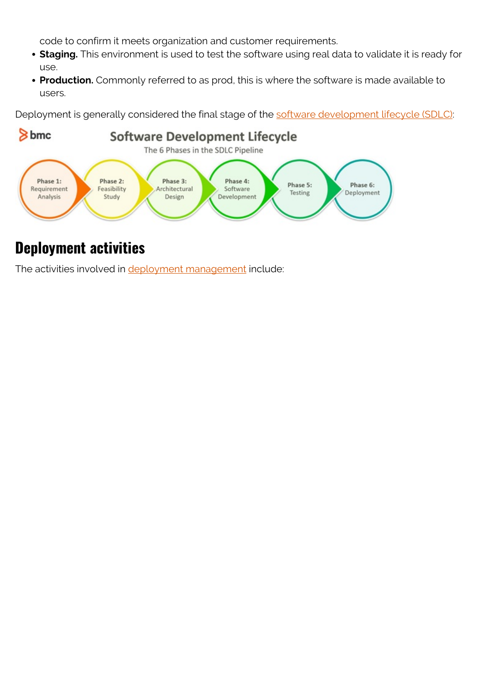code to confirm it meets organization and customer requirements.

- **Staging.** This environment is used to test the software using real data to validate it is ready for use.
- **Production.** Commonly referred to as prod, this is where the software is made available to users.

Deployment is generally considered the final stage of the **software development lifecycle (SDLC)**:



#### **Deployment activities**

The activities involved in **[deployment management](https://blogs.bmc.com/blogs/itil-release-deployment-management/)** include: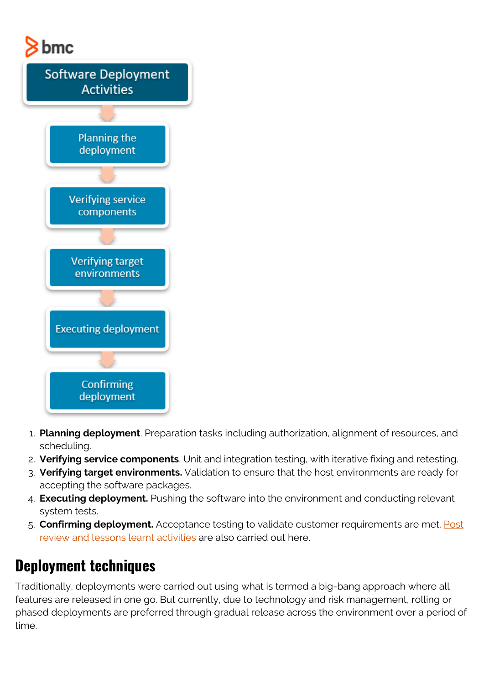



- 1. **Planning deployment**. Preparation tasks including authorization, alignment of resources, and scheduling.
- 2. **Verifying service components**. Unit and integration testing, with iterative fixing and retesting.
- 3. **Verifying target environments.** Validation to ensure that the host environments are ready for accepting the software packages.
- 4. **Executing deployment.** Pushing the software into the environment and conducting relevant system tests.
- 5. **Confirming deployment.** Acceptance testing to validate customer requirements are met. [Post](https://blogs.bmc.com/blogs/incident-postmortem/) [review and lessons learnt activities](https://blogs.bmc.com/blogs/incident-postmortem/) are also carried out here.

## **Deployment techniques**

Traditionally, deployments were carried out using what is termed a big-bang approach where all features are released in one go. But currently, due to technology and risk management, rolling or phased deployments are preferred through gradual release across the environment over a period of time.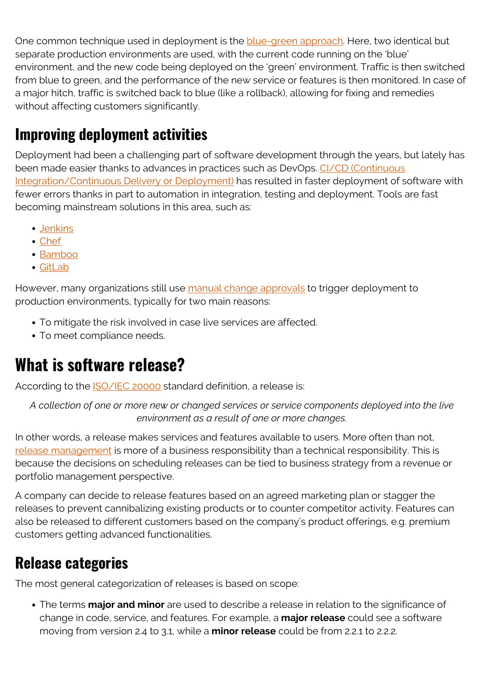One common technique used in deployment is the **[blue-green approach](https://blogs.bmc.com/blogs/blue-green-deployment/)**. Here, two identical but separate production environments are used, with the current code running on the 'blue' environment, and the new code being deployed on the 'green' environment. Traffic is then switched from blue to green, and the performance of the new service or features is then monitored. In case of a major hitch, traffic is switched back to blue (like a rollback), allowing for fixing and remedies without affecting customers significantly.

## **Improving deployment activities**

Deployment had been a challenging part of software development through the years, but lately has been made easier thanks to advances in practices such as DevOps. [CI/CD \(Continuous](https://blogs.bmc.com/blogs/what-is-ci-cd/) [Integration/Continuous Delivery or Deployment\)](https://blogs.bmc.com/blogs/what-is-ci-cd/) has resulted in faster deployment of software with fewer errors thanks in part to automation in integration, testing and deployment. Tools are fast becoming mainstream solutions in this area, such as:

- [Jenkins](https://jenkins.io/)
- [Chef](https://www.chef.io/)
- [Bamboo](https://www.atlassian.com/software/bamboo)
- [GitLab](https://about.gitlab.com/)

However, many organizations still use [manual change approvals](https://blogs.bmc.com/blogs/itil-change-enablement/) to trigger deployment to production environments, typically for two main reasons:

- To mitigate the risk involved in case live services are affected.
- To meet compliance needs.

## **What is software release?**

According to the [ISO/IEC 20000](https://www.iso.org/standard/74316.html) standard definition, a release is:

*A collection of one or more new or changed services or service components deployed into the live environment as a result of one or more changes.*

In other words, a release makes services and features available to users. More often than not, [release management](https://blogs.bmc.com/blogs/devops-release-management/) is more of a business responsibility than a technical responsibility. This is because the decisions on scheduling releases can be tied to business strategy from a revenue or portfolio management perspective.

A company can decide to release features based on an agreed marketing plan or stagger the releases to prevent cannibalizing existing products or to counter competitor activity. Features can also be released to different customers based on the company's product offerings, e.g. premium customers getting advanced functionalities.

#### **Release categories**

The most general categorization of releases is based on scope:

The terms **major and minor** are used to describe a release in relation to the significance of change in code, service, and features. For example, a **major release** could see a software moving from version 2.4 to 3.1, while a **minor release** could be from 2.2.1 to 2.2.2.